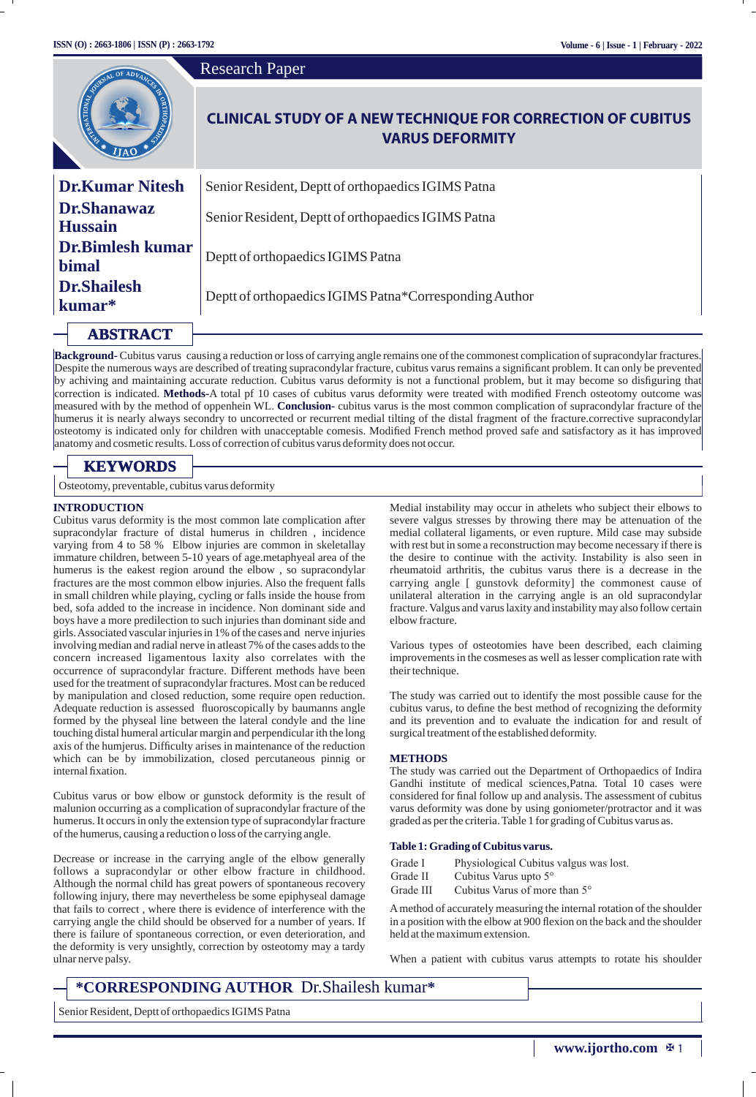|                                                                | <b>Research Paper</b>                                                                        |  |  |  |  |
|----------------------------------------------------------------|----------------------------------------------------------------------------------------------|--|--|--|--|
| <b>CONTRACTOR DE ADI</b><br><b>O</b> GREGORIA<br>$I_{\rm IAO}$ | <b>CLINICAL STUDY OF A NEW TECHNIQUE FOR CORRECTION OF CUBITUS</b><br><b>VARUS DEFORMITY</b> |  |  |  |  |
| <b>Dr.Kumar Nitesh</b>                                         | Senior Resident, Deptt of orthopaedics IGIMS Patna                                           |  |  |  |  |
| <b>Dr.Shanawaz</b><br><b>Hussain</b>                           | Senior Resident, Deptt of orthopaedics IGIMS Patna                                           |  |  |  |  |
| <b>Dr.Bimlesh kumar</b><br><b>bimal</b>                        | Deptt of orthopaedics IGIMS Patna                                                            |  |  |  |  |
| <b>Dr.Shailesh</b><br>kumar*                                   | Deptt of orthopaedics IGIMS Patna*Corresponding Author                                       |  |  |  |  |
| <b>ABSTRACT</b>                                                |                                                                                              |  |  |  |  |

**Background-** Cubitus varus causing a reduction or loss of carrying angle remains one of the commonest complication of supracondylar fractures. Despite the numerous ways are described of treating supracondylar fracture, cubitus varus remains a significant problem. It can only be prevented by achiving and maintaining accurate reduction. Cubitus varus deformity is not a functional problem, but it may become so disguring that correction is indicated. **Methods-**A total pf 10 cases of cubitus varus deformity were treated with modied French osteotomy outcome was measured with by the method of oppenhein WL. **Conclusion-** cubitus varus is the most common complication of supracondylar fracture of the humerus it is nearly always secondry to uncorrected or recurrent medial tilting of the distal fragment of the fracture.corrective supracondylar osteotomy is indicated only for children with unacceptable comesis. Modied French method proved safe and satisfactory as it has improved anatomy and cosmetic results. Loss of correction of cubitus varus deformity does not occur.

# **KEYWORDS**

Osteotomy, preventable, cubitus varus deformity

#### **INTRODUCTION**

Cubitus varus deformity is the most common late complication after supracondylar fracture of distal humerus in children , incidence varying from 4 to 58 % Elbow injuries are common in skeletallay immature children, between 5-10 years of age.metaphyeal area of the humerus is the eakest region around the elbow , so supracondylar fractures are the most common elbow injuries. Also the frequent falls in small children while playing, cycling or falls inside the house from bed, sofa added to the increase in incidence. Non dominant side and boys have a more predilection to such injuries than dominant side and girls. Associated vascular injuries in 1% of the cases and nerve injuries involving median and radial nerve in atleast 7% of the cases adds to the concern increased ligamentous laxity also correlates with the occurrence of supracondylar fracture. Different methods have been used for the treatment of supracondylar fractures. Most can be reduced by manipulation and closed reduction, some require open reduction. Adequate reduction is assessed fluoroscopically by baumanns angle formed by the physeal line between the lateral condyle and the line touching distal humeral articular margin and perpendicular ith the long axis of the humjerus. Difficulty arises in maintenance of the reduction which can be by immobilization, closed percutaneous pinnig or internal fixation.

Cubitus varus or bow elbow or gunstock deformity is the result of malunion occurring as a complication of supracondylar fracture of the humerus. It occurs in only the extension type of supracondylar fracture of the humerus, causing a reduction o loss of the carrying angle.

Decrease or increase in the carrying angle of the elbow generally follows a supracondylar or other elbow fracture in childhood. Although the normal child has great powers of spontaneous recovery following injury, there may nevertheless be some epiphyseal damage that fails to correct , where there is evidence of interference with the carrying angle the child should be observed for a number of years. If there is failure of spontaneous correction, or even deterioration, and the deformity is very unsightly, correction by osteotomy may a tardy ulnar nerve palsy.

Medial instability may occur in athelets who subject their elbows to severe valgus stresses by throwing there may be attenuation of the medial collateral ligaments, or even rupture. Mild case may subside with rest but in some a reconstruction may become necessary if there is the desire to continue with the activity. Instability is also seen in rheumatoid arthritis, the cubitus varus there is a decrease in the carrying angle [ gunstovk deformity] the commonest cause of unilateral alteration in the carrying angle is an old supracondylar fracture. Valgus and varus laxity and instability may also follow certain elbow fracture.

Various types of osteotomies have been described, each claiming improvements in the cosmeses as well as lesser complication rate with their technique.

The study was carried out to identify the most possible cause for the cubitus varus, to define the best method of recognizing the deformity and its prevention and to evaluate the indication for and result of surgical treatment of the established deformity.

#### **METHODS**

The study was carried out the Department of Orthopaedics of Indira Gandhi institute of medical sciences,Patna. Total 10 cases were considered for final follow up and analysis. The assessment of cubitus varus deformity was done by using goniometer/protractor and it was graded as per the criteria. Table 1 for grading of Cubitus varus as.

#### **Table 1: Grading of Cubitus varus.**

- Grade I Physiological Cubitus valgus was lost.
- Grade II Cubitus Varus upto 5°
- Grade III Cubitus Varus of more than 5°

Amethod of accurately measuring the internal rotation of the shoulder in a position with the elbow at 900 flexion on the back and the shoulder held at the maximum extension.

When a patient with cubitus varus attempts to rotate his shoulder

# **\*CORRESPONDING AUTHOR** Dr.Shailesh kumar**\***

Senior Resident, Deptt of orthopaedics IGIMS Patna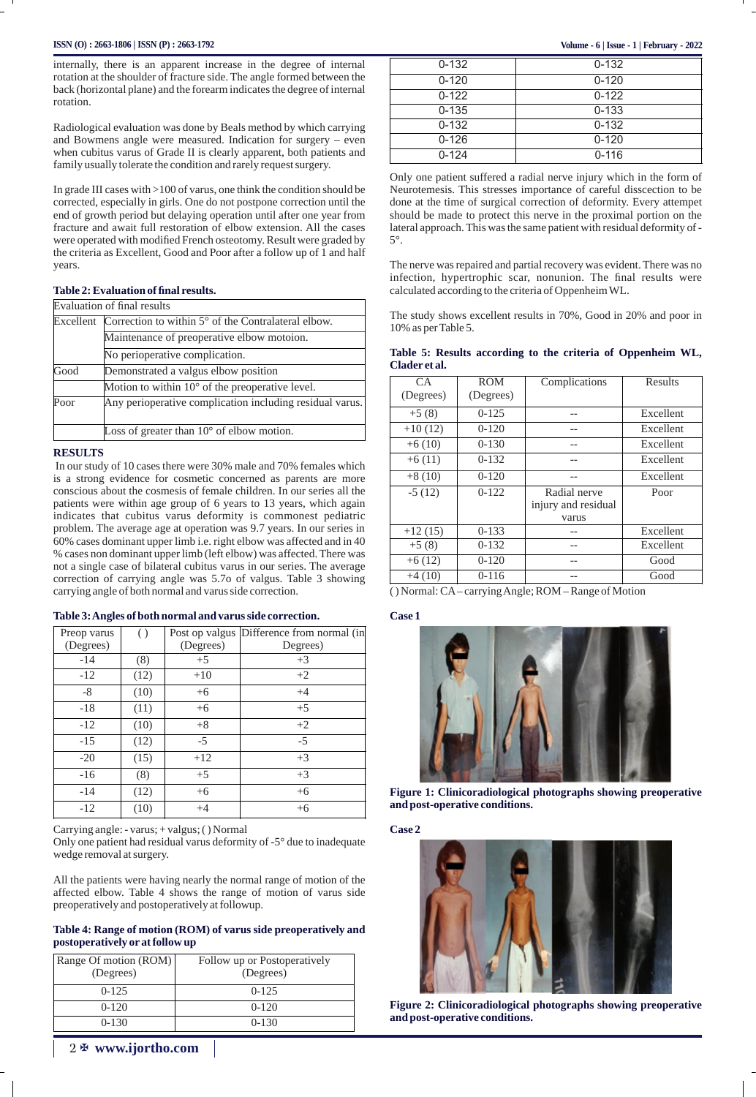#### **ISSN (O) : 2663-1806 | ISSN (P) : 2663-1792 Volume - 6 | Issue - 1 | February - 2022**

internally, there is an apparent increase in the degree of internal rotation at the shoulder of fracture side. The angle formed between the back (horizontal plane) and the forearm indicates the degree of internal rotation.

Radiological evaluation was done by Beals method by which carrying and Bowmens angle were measured. Indication for surgery – even when cubitus varus of Grade II is clearly apparent, both patients and family usually tolerate the condition and rarely request surgery.

In grade III cases with >100 of varus, one think the condition should be corrected, especially in girls. One do not postpone correction until the end of growth period but delaying operation until after one year from fracture and await full restoration of elbow extension. All the cases were operated with modified French osteotomy. Result were graded by the criteria as Excellent, Good and Poor after a follow up of 1 and half years.

#### **Table 2: Evaluation of final results.**

|      | Evaluation of final results                                   |
|------|---------------------------------------------------------------|
|      | Excellent Correction to within 5° of the Contralateral elbow. |
|      | Maintenance of preoperative elbow motoion.                    |
|      | No perioperative complication.                                |
| Good | Demonstrated a valgus elbow position                          |
|      | Motion to within 10° of the preoperative level.               |
| Poor | Any perioperative complication including residual varus.      |
|      | Loss of greater than $10^{\circ}$ of elbow motion.            |

#### **RESULTS**

In our study of 10 cases there were 30% male and 70% females which is a strong evidence for cosmetic concerned as parents are more conscious about the cosmesis of female children. In our series all the patients were within age group of 6 years to 13 years, which again indicates that cubitus varus deformity is commonest pediatric problem. The average age at operation was 9.7 years. In our series in 60% cases dominant upper limb i.e. right elbow was affected and in 40 % cases non dominant upper limb (left elbow) was affected. There was not a single case of bilateral cubitus varus in our series. The average correction of carrying angle was 5.7o of valgus. Table 3 showing carrying angle of both normal and varus side correction.

#### **Table 3: Angles of both normal and varus side correction.**

| Preop varus<br>(Degrees) | $\left( \right)$ | Post op valgus<br>(Degrees) | Difference from normal (in<br>Degrees) |
|--------------------------|------------------|-----------------------------|----------------------------------------|
| $-14$                    | (8)              | $+5$                        | $+3$                                   |
| $-12$                    | (12)             | $+10$                       | $+2$                                   |
| -8                       | (10)             | $+6$                        | $+4$                                   |
| $-18$                    | (11)             | $+6$                        | $+5$                                   |
| $-12$                    | (10)             | $+8$                        | $+2$                                   |
| $-15$                    | (12)             | -5                          | $-5$                                   |
| $-20$                    | (15)             | $+12$                       | $+3$                                   |
| $-16$                    | (8)              | $+5$                        | $+3$                                   |
| $-14$                    | (12)             | $+6$                        | $+6$                                   |
| $-12$                    | (10)             | $+4$                        | $+6$                                   |

Carrying angle: - varus; + valgus; ( ) Normal

Only one patient had residual varus deformity of -5° due to inadequate wedge removal at surgery.

All the patients were having nearly the normal range of motion of the affected elbow. Table 4 shows the range of motion of varus side preoperatively and postoperatively at followup.

#### **Table 4: Range of motion (ROM) of varus side preoperatively and postoperatively or at follow up**

| Range Of motion (ROM)<br>(Degrees) | Follow up or Postoperatively<br>(Degrees) |
|------------------------------------|-------------------------------------------|
| $0 - 125$                          | $0 - 125$                                 |
| $0 - 120$                          | $0 - 120$                                 |
| $0 - 130$                          | $0 - 130$                                 |

| $0 - 132$ | $0 - 132$ |
|-----------|-----------|
| $0 - 120$ | $0 - 120$ |
| $0 - 122$ | $0 - 122$ |
| $0 - 135$ | $0 - 133$ |
| $0 - 132$ | $0 - 132$ |
| $0 - 126$ | $0 - 120$ |
| $0 - 124$ | $0 - 116$ |

Only one patient suffered a radial nerve injury which in the form of Neurotemesis. This stresses importance of careful disscection to be done at the time of surgical correction of deformity. Every attempet should be made to protect this nerve in the proximal portion on the lateral approach. This was the same patient with residual deformity of - 5°.

The nerve was repaired and partial recovery was evident. There was no infection, hypertrophic scar, nonunion. The final results were calculated according to the criteria of Oppenheim WL.

The study shows excellent results in 70%, Good in 20% and poor in 10% as per Table 5.

|               |  |  |  | Table 5: Results according to the criteria of Oppenheim WL, |  |
|---------------|--|--|--|-------------------------------------------------------------|--|
| Clader et al. |  |  |  |                                                             |  |

| CA        | <b>ROM</b> | Complications       | Results   |
|-----------|------------|---------------------|-----------|
| (Degrees) | (Degrees)  |                     |           |
| $+5(8)$   | $0 - 125$  |                     | Excellent |
| $+10(12)$ | $0 - 120$  |                     | Excellent |
| $+6(10)$  | $0 - 130$  |                     | Excellent |
| $+6(11)$  | $0 - 1.32$ |                     | Excellent |
| $+8(10)$  | $0 - 120$  |                     | Excellent |
| $-5(12)$  | $0 - 122$  | Radial nerve        | Poor      |
|           |            | injury and residual |           |
|           |            | varus               |           |
| $+12(15)$ | $0 - 133$  |                     | Excellent |
| $+5(8)$   | $0 - 132$  |                     | Excellent |
| $+6(12)$  | $0 - 120$  |                     | Good      |
| $+4(10)$  | $0 - 116$  |                     | Good      |

( ) Normal: CA– carrying Angle; ROM – Range of Motion

#### **Case 1**



**Figure 1: Clinicoradiological photographs showing preoperative and post-operative conditions.**

**Case 2**



**Figure 2: Clinicoradiological photographs showing preoperative and post-operative conditions.**

## 2 X **www.ijortho.com**